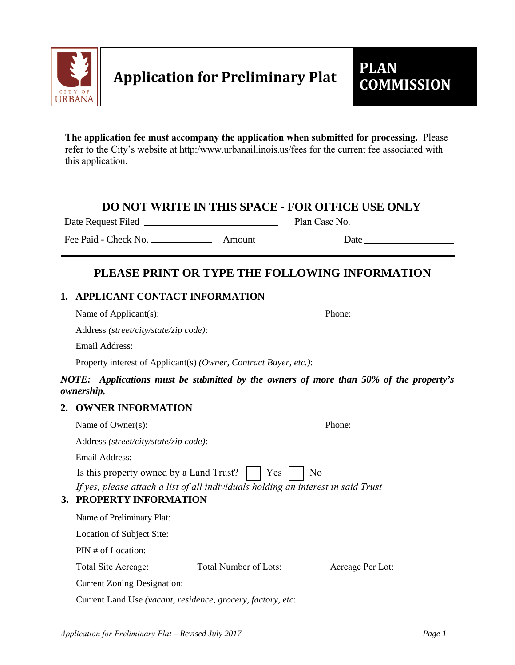

**The app[lication fee must accompany the](http://www.urbanaillinois.us/fees) application when submitted for processing.** Please refer to the City's website at http:/www.urbanaillinois.us/fees for the current fee associated with this application.

## **DO NOT WRITE IN THIS SPACE - FOR OFFICE USE ONLY**

Date Request Filed Plan Case No.

Fee Paid - Check No. Amount Date

# **PLEASE PRINT OR TYPE THE FOLLOWING INFORMATION**

## **1. APPLICANT CONTACT INFORMATION**

| Name of Applicant(s): | Phone: |
|-----------------------|--------|
|-----------------------|--------|

Address *(street/city/state/zip code)*:

Email Address:

Property interest of Applicant(s) *(Owner, Contract Buyer, etc.)*:

## *NOTE: Applications must be submitted by the owners of more than 50% of the property's ownership.*

## **2. OWNER INFORMATION**

|                                                                  | Name of Owner(s):                                                                                                |                       | Phone:           |  |  |
|------------------------------------------------------------------|------------------------------------------------------------------------------------------------------------------|-----------------------|------------------|--|--|
|                                                                  | Address (street/city/state/zip code):                                                                            |                       |                  |  |  |
|                                                                  | Email Address:                                                                                                   |                       |                  |  |  |
| Yes<br>Is this property owned by a Land Trust?<br>N <sub>0</sub> |                                                                                                                  |                       |                  |  |  |
| 3.                                                               | If yes, please attach a list of all individuals holding an interest in said Trust<br><b>PROPERTY INFORMATION</b> |                       |                  |  |  |
|                                                                  | Name of Preliminary Plat:                                                                                        |                       |                  |  |  |
|                                                                  | Location of Subject Site:                                                                                        |                       |                  |  |  |
|                                                                  | PIN # of Location:                                                                                               |                       |                  |  |  |
|                                                                  | Total Site Acreage:                                                                                              | Total Number of Lots: | Acreage Per Lot: |  |  |
|                                                                  | <b>Current Zoning Designation:</b>                                                                               |                       |                  |  |  |
|                                                                  | Current Land Use (vacant, residence, grocery, factory, etc:                                                      |                       |                  |  |  |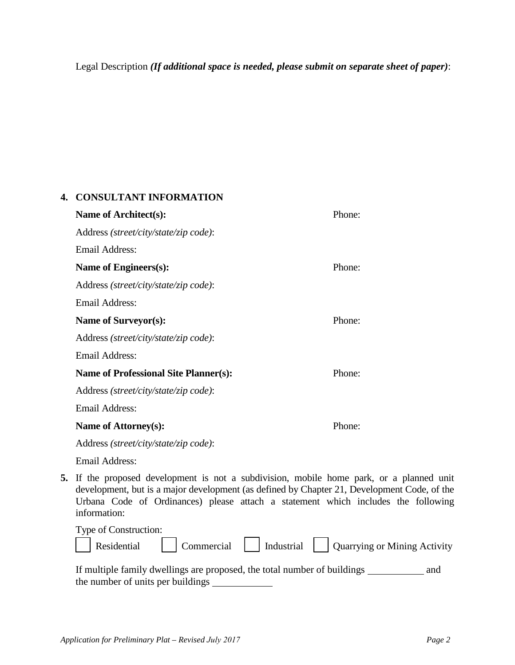Legal Description *(If additional space is needed, please submit on separate sheet of paper)*:

#### **4. CONSULTANT INFORMATION**

| Name of Architect(s):                        | Phone: |
|----------------------------------------------|--------|
| Address (street/city/state/zip code):        |        |
| Email Address:                               |        |
| Name of Engineers(s):                        | Phone: |
| Address (street/city/state/zip code):        |        |
| Email Address:                               |        |
| Name of Surveyor(s):                         | Phone: |
| Address (street/city/state/zip code):        |        |
| Email Address:                               |        |
| <b>Name of Professional Site Planner(s):</b> | Phone: |
| Address (street/city/state/zip code):        |        |
| <b>Email Address:</b>                        |        |
| Name of Attorney(s):                         | Phone: |
| Address (street/city/state/zip code):        |        |
| Email Address:                               |        |

**5.** If the proposed development is not a subdivision, mobile home park, or a planned unit development, but is a major development (as defined by Chapter 21, Development Code, of the Urbana Code of Ordinances) please attach a statement which includes the following information:

| Type of Construction: |                                                                |  |  |
|-----------------------|----------------------------------------------------------------|--|--|
|                       | Residential Commercial Industrial Quarrying or Mining Activity |  |  |
|                       |                                                                |  |  |

| If multiple family dwellings are proposed, the total number of buildings | and |
|--------------------------------------------------------------------------|-----|
| the number of units per buildings                                        |     |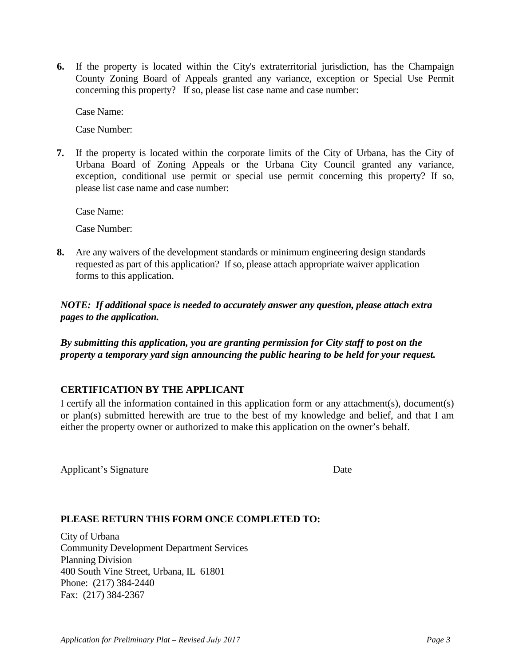**6.** If the property is located within the City's extraterritorial jurisdiction, has the Champaign County Zoning Board of Appeals granted any variance, exception or Special Use Permit concerning this property? If so, please list case name and case number:

Case Name:

Case Number:

**7.** If the property is located within the corporate limits of the City of Urbana, has the City of Urbana Board of Zoning Appeals or the Urbana City Council granted any variance, exception, conditional use permit or special use permit concerning this property? If so, please list case name and case number:

Case Name:

Case Number:

**8.** Are any waivers of the development standards or minimum engineering design standards requested as part of this application? If so, please attach appropriate waiver application forms to this application.

*NOTE: If additional space is needed to accurately answer any question, please attach extra pages to the application.*

*By submitting this application, you are granting permission for City staff to post on the property a temporary yard sign announcing the public hearing to be held for your request.* 

#### **CERTIFICATION BY THE APPLICANT**

I certify all the information contained in this application form or any attachment(s), document(s) or plan(s) submitted herewith are true to the best of my knowledge and belief, and that I am either the property owner or authorized to make this application on the owner's behalf.

Applicant's Signature Date

#### **PLEASE RETURN THIS FORM ONCE COMPLETED TO:**

City of Urbana Community Development Department Services Planning Division 400 South Vine Street, Urbana, IL 61801 Phone: (217) 384-2440 Fax: (217) 384-2367